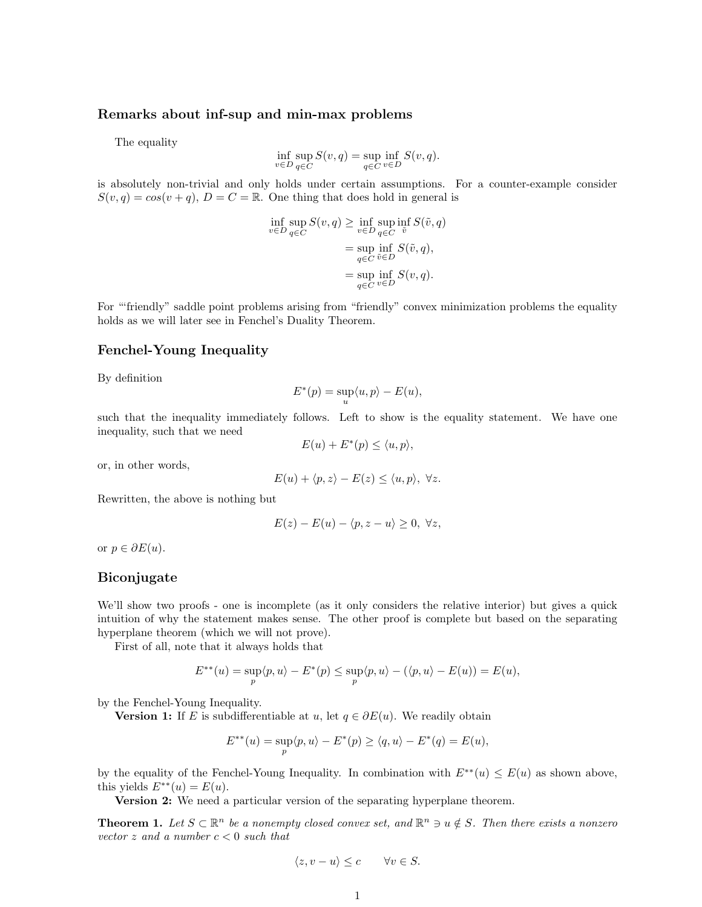## Remarks about inf-sup and min-max problems

The equality

$$
\inf_{v \in D} \sup_{q \in C} S(v, q) = \sup_{q \in C} \inf_{v \in D} S(v, q).
$$

is absolutely non-trivial and only holds under certain assumptions. For a counter-example consider  $S(v, q) = cos(v + q)$ ,  $D = C = \mathbb{R}$ . One thing that does hold in general is

$$
\inf_{v \in D} \sup_{q \in C} S(v, q) \ge \inf_{v \in D} \sup_{q \in C} \inf_{\tilde{v}} S(\tilde{v}, q)
$$
\n
$$
= \sup_{q \in C} \inf_{\tilde{v} \in D} S(\tilde{v}, q),
$$
\n
$$
= \sup_{q \in C} \inf_{v \in D} S(v, q).
$$

For "friendly" saddle point problems arising from "friendly" convex minimization problems the equality holds as we will later see in Fenchel's Duality Theorem.

# Fenchel-Young Inequality

By definition

$$
E^*(p) = \sup_u \langle u, p \rangle - E(u),
$$

such that the inequality immediately follows. Left to show is the equality statement. We have one inequality, such that we need

$$
E(u) + E^*(p) \le \langle u, p \rangle,
$$

or, in other words,

$$
E(u) + \langle p, z \rangle - E(z) \le \langle u, p \rangle, \ \forall z.
$$

Rewritten, the above is nothing but

$$
E(z) - E(u) - \langle p, z - u \rangle \ge 0, \ \forall z,
$$

or  $p \in \partial E(u)$ .

#### Biconjugate

We'll show two proofs - one is incomplete (as it only considers the relative interior) but gives a quick intuition of why the statement makes sense. The other proof is complete but based on the separating hyperplane theorem (which we will not prove).

First of all, note that it always holds that

$$
E^{**}(u) = \sup_p \langle p, u \rangle - E^*(p) \le \sup_p \langle p, u \rangle - (\langle p, u \rangle - E(u)) = E(u),
$$

by the Fenchel-Young Inequality.

**Version 1:** If E is subdifferentiable at u, let  $q \in \partial E(u)$ . We readily obtain

$$
E^{**}(u) = \sup_p \langle p, u \rangle - E^*(p) \ge \langle q, u \rangle - E^*(q) = E(u),
$$

by the equality of the Fenchel-Young Inequality. In combination with  $E^{**}(u) \leq E(u)$  as shown above, this yields  $E^{**}(u) = E(u)$ .

Version 2: We need a particular version of the separating hyperplane theorem.

**Theorem 1.** Let  $S \subset \mathbb{R}^n$  be a nonempty closed convex set, and  $\mathbb{R}^n \ni u \notin S$ . Then there exists a nonzero vector  $z$  and a number  $c < 0$  such that

$$
\langle z, v - u \rangle \le c \qquad \forall v \in S.
$$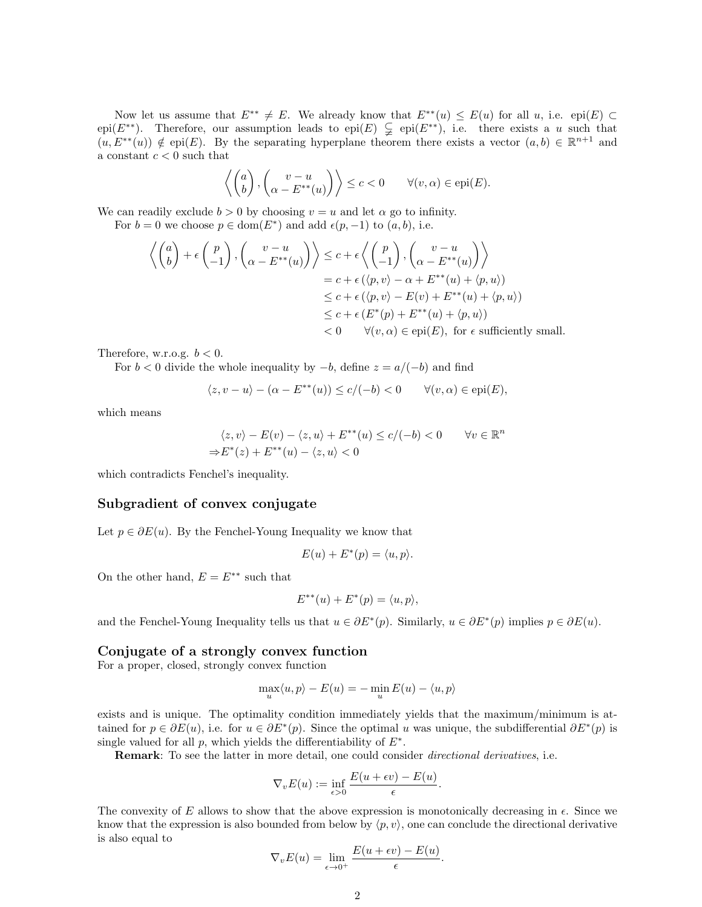Now let us assume that  $E^{**} \neq E$ . We already know that  $E^{**}(u) \leq E(u)$  for all u, i.e. epi $(E) \subset$ epi(E<sup>\*\*</sup>). Therefore, our assumption leads to epi(E)  $\subsetneq$  epi(E<sup>\*\*</sup>), i.e. there exists a u such that  $(u, E^{**}(u)) \notin epi(E)$ . By the separating hyperplane theorem there exists a vector  $(a, b) \in \mathbb{R}^{n+1}$  and a constant  $c < 0$  such that

$$
\left\langle \begin{pmatrix} a \\ b \end{pmatrix}, \begin{pmatrix} v - u \\ \alpha - E^{**}(u) \end{pmatrix} \right\rangle \le c < 0 \qquad \forall (v, \alpha) \in \text{epi}(E).
$$

We can readily exclude  $b > 0$  by choosing  $v = u$  and let  $\alpha$  go to infinity.

For  $b = 0$  we choose  $p \in \text{dom}(E^*)$  and add  $\epsilon(p, -1)$  to  $(a, b)$ , i.e.

$$
\left\langle \begin{pmatrix} a \\ b \end{pmatrix} + \epsilon \begin{pmatrix} p \\ -1 \end{pmatrix}, \begin{pmatrix} v - u \\ \alpha - E^{**}(u) \end{pmatrix} \right\rangle \leq c + \epsilon \left\langle \begin{pmatrix} p \\ -1 \end{pmatrix}, \begin{pmatrix} v - u \\ \alpha - E^{**}(u) \end{pmatrix} \right\rangle
$$
  
\n
$$
= c + \epsilon (\langle p, v \rangle - \alpha + E^{**}(u) + \langle p, u \rangle)
$$
  
\n
$$
\leq c + \epsilon (\langle p, v \rangle - E(v) + E^{**}(u) + \langle p, u \rangle)
$$
  
\n
$$
\leq c + \epsilon (E^{*}(p) + E^{**}(u) + \langle p, u \rangle)
$$
  
\n
$$
< 0 \qquad \forall (v, \alpha) \in \text{epi}(E), \text{ for } \epsilon \text{ sufficiently small.}
$$

Therefore, w.r.o.g.  $b < 0$ .

For  $b < 0$  divide the whole inequality by  $-b$ , define  $z = a/(-b)$  and find

$$
\langle z, v - u \rangle - (\alpha - E^{**}(u)) \le c/(-b) < 0 \quad \forall (v, \alpha) \in \text{epi}(E),
$$

which means

$$
\langle z, v \rangle - E(v) - \langle z, u \rangle + E^{**}(u) \le c/(-b) < 0 \quad \forall v \in \mathbb{R}^n
$$
  
\n
$$
\Rightarrow E^*(z) + E^{**}(u) - \langle z, u \rangle < 0
$$

which contradicts Fenchel's inequality.

## Subgradient of convex conjugate

Let  $p \in \partial E(u)$ . By the Fenchel-Young Inequality we know that

$$
E(u) + E^*(p) = \langle u, p \rangle.
$$

On the other hand,  $E = E^{**}$  such that

$$
E^{**}(u) + E^*(p) = \langle u, p \rangle,
$$

and the Fenchel-Young Inequality tells us that  $u \in \partial E^*(p)$ . Similarly,  $u \in \partial E^*(p)$  implies  $p \in \partial E(u)$ .

# Conjugate of a strongly convex function

For a proper, closed, strongly convex function

$$
\max_{u} \langle u, p \rangle - E(u) = -\min_{u} E(u) - \langle u, p \rangle
$$

exists and is unique. The optimality condition immediately yields that the maximum/minimum is attained for  $p \in \partial E(u)$ , i.e. for  $u \in \partial E^*(p)$ . Since the optimal u was unique, the subdifferential  $\partial E^*(p)$  is single valued for all  $p$ , which yields the differentiability of  $E^*$ .

Remark: To see the latter in more detail, one could consider *directional derivatives*, i.e.

$$
\nabla_v E(u) := \inf_{\epsilon > 0} \frac{E(u + \epsilon v) - E(u)}{\epsilon}.
$$

The convexity of E allows to show that the above expression is monotonically decreasing in  $\epsilon$ . Since we know that the expression is also bounded from below by  $\langle p, v \rangle$ , one can conclude the directional derivative is also equal to

$$
\nabla_v E(u) = \lim_{\epsilon \to 0^+} \frac{E(u + \epsilon v) - E(u)}{\epsilon}.
$$